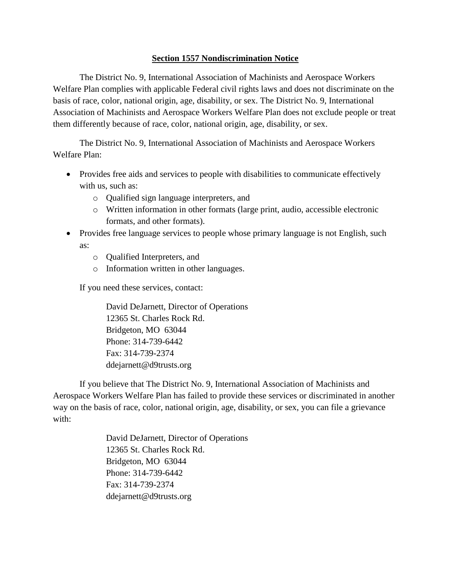## **Section 1557 Nondiscrimination Notice**

The District No. 9, International Association of Machinists and Aerospace Workers Welfare Plan complies with applicable Federal civil rights laws and does not discriminate on the basis of race, color, national origin, age, disability, or sex. The District No. 9, International Association of Machinists and Aerospace Workers Welfare Plan does not exclude people or treat them differently because of race, color, national origin, age, disability, or sex.

The District No. 9, International Association of Machinists and Aerospace Workers Welfare Plan:

- Provides free aids and services to people with disabilities to communicate effectively with us, such as:
	- o Qualified sign language interpreters, and
	- o Written information in other formats (large print, audio, accessible electronic formats, and other formats).
- Provides free language services to people whose primary language is not English, such as:
	- o Qualified Interpreters, and
	- o Information written in other languages.

If you need these services, contact:

David DeJarnett, Director of Operations 12365 St. Charles Rock Rd. Bridgeton, MO 63044 Phone: 314-739-6442 Fax: 314-739-2374 ddejarnett@d9trusts.org

If you believe that The District No. 9, International Association of Machinists and Aerospace Workers Welfare Plan has failed to provide these services or discriminated in another way on the basis of race, color, national origin, age, disability, or sex, you can file a grievance with:

> David DeJarnett, Director of Operations 12365 St. Charles Rock Rd. Bridgeton, MO 63044 Phone: 314-739-6442 Fax: 314-739-2374 ddejarnett@d9trusts.org